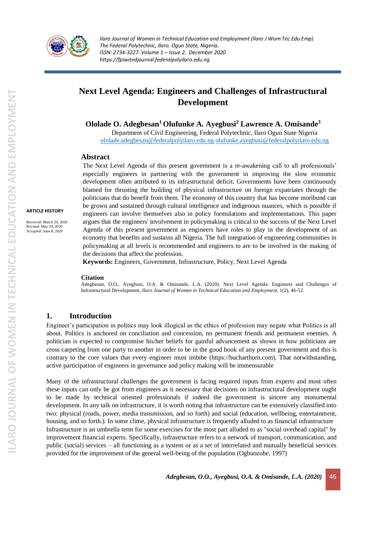

# **Next Level Agenda: Engineers and Challenges of Infrastructural Development**

**Ololade O. Adegbesan<sup>1</sup>Olufunke A. Ayegbusi<sup>2</sup> Lawrence A. Omisande<sup>3</sup>**

Department of Civil Engineering, Federal Polytechnic, Ilaro Ogun State Nigeria [ololade.adegbesan@federalpolyilaro.edu.ng](mailto:ololade.adegbesan@federalpolyilaro.edu.ng) [olufunke.ayegbusi@federalpolyilaro.edu.ng](mailto:olufunke.ayegbusi@federalpolyilaro.edu.ng)

### **Abstract**

The Next Level Agenda of this present government is a re-awakening call to all professionals' especially engineers in partnering with the government in improving the slow economic development often attributed to its infrastructural deficit. Governments have been continuously blamed for thrusting the building of physical infrastructure on foreign expatriates through the politicians that do benefit from them. The economy of this country that has become moribund can be grown and sustained through cultural intelligence and indigenous nuances, which is possible if engineers can involve themselves also in policy formulations and implementations. This paper argues that the engineers' involvement in policymaking is critical to the success of the Next Level Agenda of this present government as engineers have roles to play in the development of an economy that benefits and sustains all Nigeria. The full integration of engineering communities in policymaking at all levels is recommended and engineers to are to be involved in the making of the decisions that affect the profession.

**Keywords:** Engineers, Government, Infrastructure, Policy, Next Level Agenda

#### **Citation**

Adegbesan, O.O., Ayegbusi, O.A. & Omisande, L.A. (2020). Next Level Agenda: Engineers and Challenges of Infrastructural Development, *Ilaro Journal of Women in Technical Education and Employment,* 1(2), 46-52.

### **1. Introduction**

Engineer's participation in politics may look illogical as the ethics of profession may negate what Politics is all about. Politics is anchored on conciliation and concession, no permanent friends and permanent enemies. A politician is expected to compromise his/her beliefs for gainful advancement as shown in how politicians are cross carpeting from one party to another in order to be in the good book of any present government and this is contrary to the core values that every engineer must imbibe (https://bucharthorn.com). That notwithstanding, active participation of engineers in governance and policy making will be immensurable

Many of the infrastructural challenges the government is facing required inputs from experts and most often these inputs can only be got from engineers as it necessary that decisions on infrastructural development ought to be made by technical oriented professionals if indeed the government is sincere any monumental development. In any talk on infrastructure, it is worth noting that infrastructure can be extensively classified into two: physical (roads, power, media transmission, and so forth) and social (education, wellbeing, entertainment, housing, and so forth.). In some clime, physical infrastructure is frequently alluded to as financial infrastructure Infrastructure is an umbrella term for some exercises for the most part alluded to as "social overhead capital" by improvement financial experts. Specifically, infrastructure refers to a network of transport, communication, and public (social) services – all functioning as a system or as a set of interrelated and mutually beneficial services provided for the improvement of the general well-being of the population (Ogbuozobe, 1997)

**ARTICLE HISTORY** Received: March 29, 2020 Revised: May 29, 2020 Accepted: June 8, 2020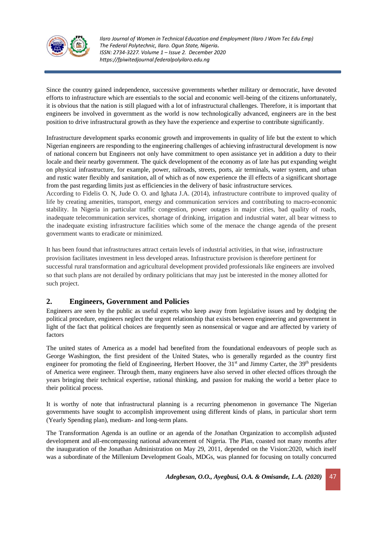

Since the country gained independence, successive governments whether military or democratic, have devoted efforts to infrastructure which are essentials to the social and economic well-being of the citizens unfortunately, it is obvious that the nation is still plagued with a lot of infrastructural challenges. Therefore, it is important that engineers be involved in government as the world is now technologically advanced, engineers are in the best position to drive infrastructural growth as they have the experience and expertise to contribute significantly.

Infrastructure development sparks economic growth and improvements in quality of life but the extent to which Nigerian engineers are responding to the engineering challenges of achieving infrastructural development is now of national concern but Engineers not only have commitment to open assistance yet in addition a duty to their locale and their nearby government. The quick development of the economy as of late has put expanding weight on physical infrastructure, for example, power, railroads, streets, ports, air terminals, water system, and urban and rustic water flexibly and sanitation, all of which as of now experience the ill effects of a significant shortage from the past regarding limits just as efficiencies in the delivery of basic infrastructure services.

According to Fidelis O. N, Jude O. O. and Ighata J.A. (2014), infrastructure contribute to improved quality of life by creating amenities, transport, energy and communication services and contributing to macro-economic stability. In Nigeria in particular traffic congestion, power outages in major cities, bad quality of roads, inadequate telecommunication services, shortage of drinking, irrigation and industrial water, all bear witness to the inadequate existing infrastructure facilities which some of the menace the change agenda of the present government wants to eradicate or minimized.

It has been found that infrastructures attract certain levels of industrial activities, in that wise, infrastructure provision facilitates investment in less developed areas. Infrastructure provision is therefore pertinent for successful rural transformation and agricultural development provided professionals like engineers are involved so that such plans are not derailed by ordinary politicians that may just be interested in the money allotted for such project.

# **2. Engineers, Government and Policies**

Engineers are seen by the public as useful experts who keep away from legislative issues and by dodging the political procedure, engineers neglect the urgent relationship that exists between engineering and government in light of the fact that political choices are frequently seen as nonsensical or vague and are affected by variety of factors

The united states of America as a model had benefited from the foundational endeavours of people such as George Washington, the first president of the United States, who is generally regarded as the country first engineer for promoting the field of Engineering, Herbert Hoover, the 31<sup>st</sup> and Jimmy Carter, the 39<sup>th</sup> presidents of America were engineer. Through them, many engineers have also served in other elected offices through the years bringing their technical expertise, rational thinking, and passion for making the world a better place to their political process.

It is worthy of note that infrastructural planning is a recurring phenomenon in governance The Nigerian governments have sought to accomplish improvement using different kinds of plans, in particular short term (Yearly Spending plan), medium- and long-term plans.

The Transformation Agenda is an outline or an agenda of the Jonathan Organization to accomplish adjusted development and all-encompassing national advancement of Nigeria. The Plan, coasted not many months after the inauguration of the Jonathan Administration on May 29, 2011, depended on the Vision:2020, which itself was a subordinate of the Millenium Development Goals, MDGs, was planned for focusing on totally concurred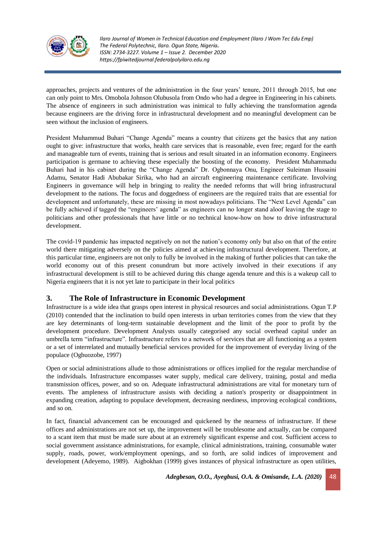

approaches, projects and ventures of the administration in the four years' tenure, 2011 through 2015, but one can only point to Mrs. Omobola Johnson Olubusola from Ondo who had a degree in Engineering in his cabinets. The absence of engineers in such administration was inimical to fully achieving the transformation agenda because engineers are the driving force in infrastructural development and no meaningful development can be seen without the inclusion of engineers.

President Muhammud Buhari "Change Agenda" means a country that citizens get the basics that any nation ought to give: infrastructure that works, health care services that is reasonable, even free; regard for the earth and manageable turn of events, training that is serious and result situated in an information economy. Engineers participation is germane to achieving these especially the boosting of the economy. President Muhammadu Buhari had in his cabinet during the "Change Agenda" Dr. Ogbonnaya Onu, Engineer Suleiman Hussaini Adamu, Senator Hadi Abubakar Sirika, who had an aircraft engineering maintenance certificate. Involving Engineers in governance will help in bringing to reality the needed reforms that will bring infrastructural development to the nations. The focus and doggedness of engineers are the required traits that are essential for development and unfortunately, these are missing in most nowadays politicians. The "Next Level Agenda" can be fully achieved if tagged the "engineers' agenda" as engineers can no longer stand aloof leaving the stage to politicians and other professionals that have little or no technical know-how on how to drive infrastructural development.

The covid-19 pandemic has impacted negatively on not the nation's economy only but also on that of the entire world there mitigating adversely on the policies aimed at achieving infrastructural development. Therefore, at this particular time, engineers are not only to fully be involved in the making of further policies that can take the world economy out of this present conundrum but more actively involved in their executions if any infrastructural development is still to be achieved during this change agenda tenure and this is a wakeup call to Nigeria engineers that it is not yet late to participate in their local politics

# **3. The Role of Infrastructure in Economic Development**

Infrastructure is a wide idea that grasps open interest in physical resources and social administrations. Ogun T.P (2010) contended that the inclination to build open interests in urban territories comes from the view that they are key determinants of long-term sustainable development and the limit of the poor to profit by the development procedure. Development Analysts usually categorised any social overhead capital under an umbrella term "infrastructure". Infrastructure refers to a network of services that are all functioning as a system or a set of interrelated and mutually beneficial services provided for the improvement of everyday living of the populace (Ogbuozobe, 1997)

Open or social administrations allude to those administrations or offices implied for the regular merchandise of the individuals. Infrastructure encompasses water supply, medical care delivery, training, postal and media transmission offices, power, and so on. Adequate infrastructural administrations are vital for monetary turn of events. The ampleness of infrastructure assists with deciding a nation's prosperity or disappointment in expanding creation, adapting to populace development, decreasing neediness, improving ecological conditions, and so on.

In fact, financial advancement can be encouraged and quickened by the nearness of infrastructure. If these offices and administrations are not set up, the improvement will be troublesome and actually, can be compared to a scant item that must be made sure about at an extremely significant expense and cost. Sufficient access to social government assistance administrations, for example, clinical administrations, training, consumable water supply, roads, power, work/employment openings, and so forth, are solid indices of improvement and development (Adeyemo, 1989). Aigbokhan (1999) gives instances of physical infrastructure as open utilities,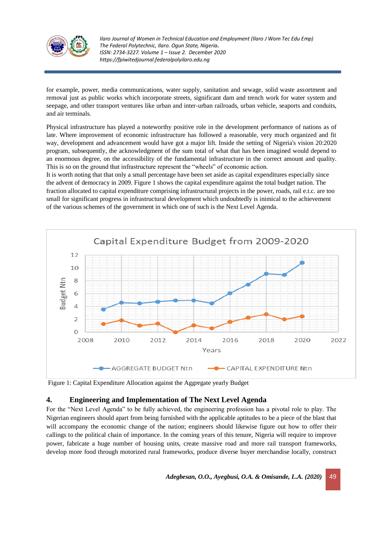

for example, power, media communications, water supply, sanitation and sewage, solid waste assortment and removal just as public works which incorporate streets, significant dam and trench work for water system and seepage, and other transport ventures like urban and inter-urban railroads, urban vehicle, seaports and conduits, and air terminals.

Physical infrastructure has played a noteworthy positive role in the development performance of nations as of late. Where improvement of economic infrastructure has followed a reasonable, very much organized and fit way, development and advancement would have got a major lift. Inside the setting of Nigeria's vision 20:2020 program, subsequently, the acknowledgment of the sum total of what that has been imagined would depend to an enormous degree, on the accessibility of the fundamental infrastructure in the correct amount and quality. This is so on the ground that infrastructure represent the "wheels" of economic action.

It is worth noting that that only a small percentage have been set aside as capital expenditures especially since the advent of democracy in 2009. Figure 1 shows the capital expenditure against the total budget nation. The fraction allocated to capital expenditure comprising infrastructural projects in the power, roads, rail e.t.c. are too small for significant progress in infrastructural development which undoubtedly is inimical to the achievement of the various schemes of the government in which one of such is the Next Level Agenda.



Figure 1: Capital Expenditure Allocation against the Aggregate yearly Budget

# **4. Engineering and Implementation of The Next Level Agenda**

For the "Next Level Agenda" to be fully achieved, the engineering profession has a pivotal role to play. The Nigerian engineers should apart from being furnished with the applicable aptitudes to be a piece of the blast that will accompany the economic change of the nation; engineers should likewise figure out how to offer their callings to the political chain of importance. In the coming years of this tenure, Nigeria will require to improve power, fabricate a huge number of housing units, create massive road and more rail transport frameworks, develop more food through motorized rural frameworks, produce diverse buyer merchandise locally, construct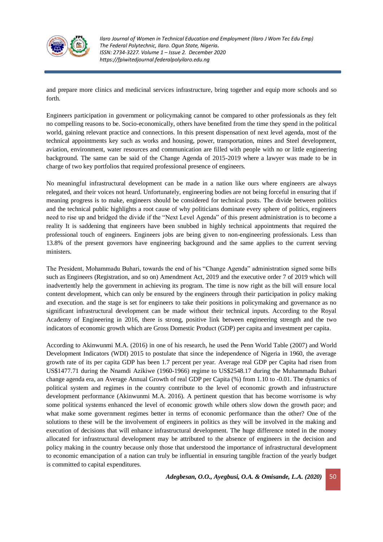

and prepare more clinics and medicinal services infrastructure, bring together and equip more schools and so forth.

Engineers participation in government or policymaking cannot be compared to other professionals as they felt no compelling reasons to be. Socio-economically, others have benefited from the time they spend in the political world, gaining relevant practice and connections. In this present dispensation of next level agenda, most of the technical appointments key such as works and housing, power, transportation, mines and Steel development, aviation, environment, water resources and communication are filled with people with no or little engineering background. The same can be said of the Change Agenda of 2015-2019 where a lawyer was made to be in charge of two key portfolios that required professional presence of engineers.

No meaningful infrastructural development can be made in a nation like ours where engineers are always relegated, and their voices not heard. Unfortunately, engineering bodies are not being forceful in ensuring that if meaning progress is to make, engineers should be considered for technical posts. The divide between politics and the technical public highlights a root cause of why politicians dominate every sphere of politics, engineers need to rise up and bridged the divide if the "Next Level Agenda" of this present administration is to become a reality It is saddening that engineers have been snubbed in highly technical appointments that required the professional touch of engineers. Engineers jobs are being given to non-engineering professionals. Less than 13.8% of the present governors have engineering background and the same applies to the current serving ministers.

The President, Mohammadu Buhari, towards the end of his "Change Agenda" administration signed some bills such as Engineers (Registration, and so on) Amendment Act, 2019 and the executive order 7 of 2019 which will inadvertently help the government in achieving its program. The time is now right as the bill will ensure local content development, which can only be ensured by the engineers through their participation in policy making and execution. and the stage is set for engineers to take their positions in policymaking and governance as no significant infrastructural development can be made without their technical inputs. According to the Royal Academy of Engineering in 2016, there is strong, positive link between engineering strength and the two indicators of economic growth which are Gross Domestic Product (GDP) per capita and investment per capita.

According to Akinwunmi M.A. (2016) in one of his research, he used the Penn World Table (2007) and World Development Indicators (WDI) 2015 to postulate that since the independence of Nigeria in 1960, the average growth rate of its per capita GDP has been 1.7 percent per year. Average real GDP per Capita had risen from US\$1477.71 during the Nnamdi Azikiwe (1960-1966) regime to US\$2548.17 during the Muhammadu Buhari change agenda era, an Average Annual Growth of real GDP per Capita (%) from 1.10 to -0.01. The dynamics of political system and regimes in the country contribute to the level of economic growth and infrastructure development performance (Akinwunmi M.A. 2016). A pertinent question that has become worrisome is why some political systems enhanced the level of economic growth while others slow down the growth pace; and what make some government regimes better in terms of economic performance than the other? One of the solutions to these will be the involvement of engineers in politics as they will be involved in the making and execution of decisions that will enhance infrastructural development. The huge difference noted in the money allocated for infrastructural development may be attributed to the absence of engineers in the decision and policy making in the country because only those that understood the importance of infrastructural development to economic emancipation of a nation can truly be influential in ensuring tangible fraction of the yearly budget is committed to capital expenditures.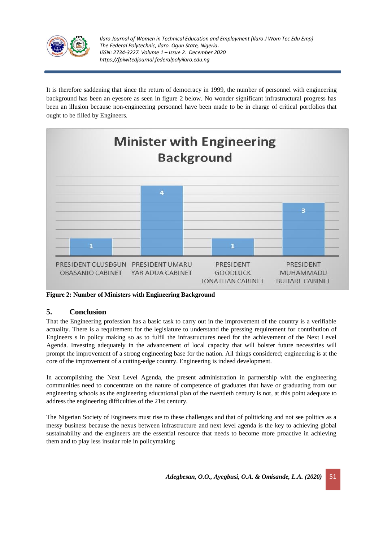

It is therefore saddening that since the return of democracy in 1999, the number of personnel with engineering background has been an eyesore as seen in figure 2 below. No wonder significant infrastructural progress has been an illusion because non-engineering personnel have been made to be in charge of critical portfolios that ought to be filled by Engineers.



**Figure 2: Number of Ministers with Engineering Background**

# **5. Conclusion**

That the Engineering profession has a basic task to carry out in the improvement of the country is a verifiable actuality. There is a requirement for the legislature to understand the pressing requirement for contribution of Engineers s in policy making so as to fulfil the infrastructures need for the achievement of the Next Level Agenda. Investing adequately in the advancement of local capacity that will bolster future necessities will prompt the improvement of a strong engineering base for the nation. All things considered; engineering is at the core of the improvement of a cutting-edge country. Engineering is indeed development.

In accomplishing the Next Level Agenda, the present administration in partnership with the engineering communities need to concentrate on the nature of competence of graduates that have or graduating from our engineering schools as the engineering educational plan of the twentieth century is not, at this point adequate to address the engineering difficulties of the 21st century.

The Nigerian Society of Engineers must rise to these challenges and that of politicking and not see politics as a messy business because the nexus between infrastructure and next level agenda is the key to achieving global sustainability and the engineers are the essential resource that needs to become more proactive in achieving them and to play less insular role in policymaking